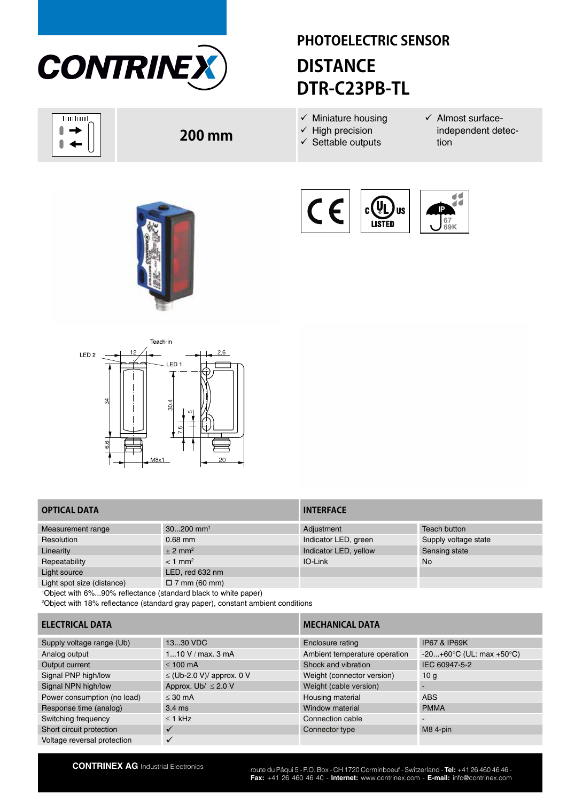

huduul 0  $\overline{\phantom{a}}$  $\blacktriangleleft$ 

# **PHOTOELECTRIC SENSOR DISTANCE DTR-C23PB-TL**

 $c(U)$ 

**LISTED** 

**US** 

- $\checkmark$  Miniature housing
- $\checkmark$  High precision
- $\checkmark$  Settable outputs
- $\checkmark$  Almost surfaceindependent detection

 $\blacktriangleleft$ 

Ŧă



**200 mm**



## **OPTICAL DATA INTERFACE**

| Measurement range          | $30200$ mm <sup>1</sup> | Adjustment            | Teach button         |
|----------------------------|-------------------------|-----------------------|----------------------|
| Resolution                 | $0.68$ mm               | Indicator LED, green  | Supply voltage state |
| Linearity                  | $\pm$ 2 mm <sup>2</sup> | Indicator LED, yellow | Sensing state        |
| Repeatability              | $< 1$ mm <sup>2</sup>   | IO-Link               | No                   |
| Light source               | LED, red 632 nm         |                       |                      |
| Light spot size (distance) | $\Box$ 7 mm (60 mm)     |                       |                      |

1 Object with 6%...90% reflectance (standard black to white paper)

2 Object with 18% reflectance (standard gray paper), constant ambient conditions

# **ELECTRICAL DATA MECHANICAL DATA**

| Supply voltage range (Ub)   | 1330 VDC                       | Enclosure rating              | <b>IP67 &amp; IP69K</b>                     |
|-----------------------------|--------------------------------|-------------------------------|---------------------------------------------|
| Analog output               | 110 V / max. 3 mA              | Ambient temperature operation | $-20+60^{\circ}C$ (UL: max $+50^{\circ}C$ ) |
| Output current              | $\leq 100$ mA                  | Shock and vibration           | IEC 60947-5-2                               |
| Signal PNP high/low         | $\leq$ (Ub-2.0 V)/ approx. 0 V | Weight (connector version)    | 10 <sub>a</sub>                             |
| Signal NPN high/low         | Approx. Ub/ $\leq$ 2.0 V       | Weight (cable version)        |                                             |
| Power consumption (no load) | $<$ 30 mA                      | Housing material              | ABS                                         |
| Response time (analog)      | $3.4 \text{ ms}$               | Window material               | <b>PMMA</b>                                 |
| Switching frequency         | $\leq$ 1 kHz                   | Connection cable              | ۰                                           |
| Short circuit protection    |                                | Connector type                | M8 4-pin                                    |
| Voltage reversal protection |                                |                               |                                             |

**CONTRINEX AG** Industrial Electronics route du Pâqui 5 - P.O. Box - CH 1720 Corminboeuf - Switzerland - **Tel:** +41 26 460 46 46 -**Fax:** +41 26 460 46 40 - **Internet:** www.contrinex.com - **E-mail:** info@contrinex.com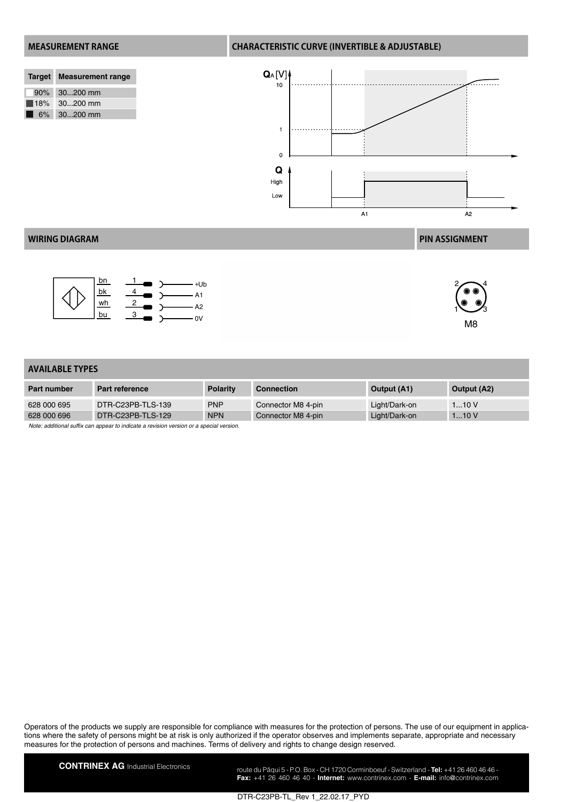|                    | Target Measurement range |
|--------------------|--------------------------|
|                    | 90% 30200 mm             |
| $\blacksquare$ 18% | $30200$ mm               |
| 6%                 | $30200$ mm               |

### **MEASUREMENT RANGE CHARACTERISTIC CURVE (INVERTIBLE & ADJUSTABLE)**



### **WIRING DIAGRAM PIN ASSIGNMENT**





 $1\overset{\circ}{\smile} \mathscr{S}_3$ M8

### **AVAILABLE TYPES**

| <b>Part number</b> | Part reference    | <b>Polarity</b> | <b>Connection</b>  | Output (A1)   | Output (A2) |
|--------------------|-------------------|-----------------|--------------------|---------------|-------------|
| 628 000 695        | DTR-C23PB-TLS-139 | <b>PNP</b>      | Connector M8 4-pin | Light/Dark-on | 110V        |
| 628 000 696        | DTR-C23PB-TLS-129 | <b>NPN</b>      | Connector M8 4-pin | Light/Dark-on | 110V        |
|                    |                   |                 |                    |               |             |

*Note: additional suffix can appear to indicate a revision version or a special version.*

Operators of the products we supply are responsible for compliance with measures for the protection of persons. The use of our equipment in applications where the safety of persons might be at risk is only authorized if the operator observes and implements separate, appropriate and necessary measures for the protection of persons and machines. Terms of delivery and rights to change design reserved.

**CONTRINEX AG** Industrial Electronics route du Pâqui 5 - P.O. Box - CH 1720 Corminboeuf - Switzerland - **Tel:** +41 26 460 46 46 -**Fax:** +41 26 460 46 40 - **Internet:** www.contrinex.com - **E-mail:** info@contrinex.com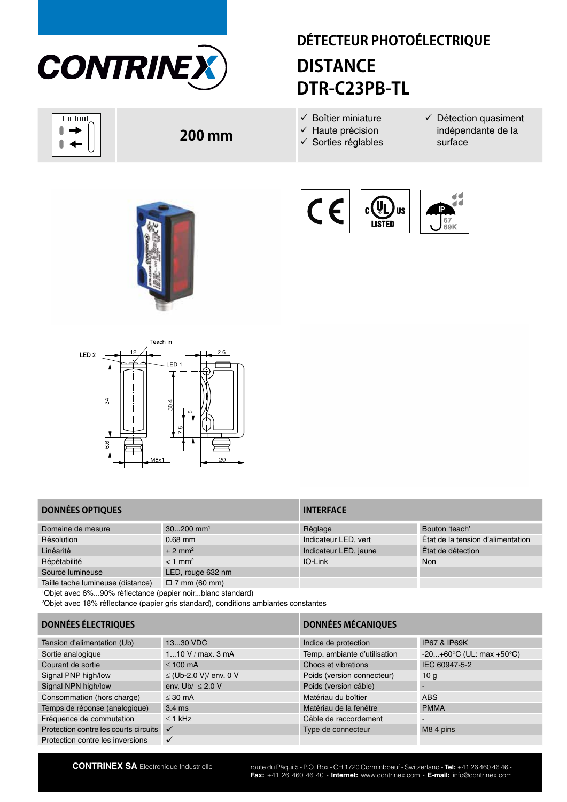

huduul N  $\overline{\phantom{a}}$  $\blacktriangleleft$ 

# **DÉTECTEUR PHOTOÉLECTRIQUE DISTANCE DTR-C23PB-TL**

- $\checkmark$  Boîtier miniature
- $\checkmark$  Haute précision
- $\checkmark$  Sorties réglables
- $\checkmark$  Détection quasiment indépendante de la surface



**200 mm**







## **DONNÉES OPTIQUES INTERFACE**

| Domaine de mesure                 | $30200$ mm <sup>1</sup> | Réglage               | Bouton 'teach'                    |
|-----------------------------------|-------------------------|-----------------------|-----------------------------------|
| Résolution                        | $0.68$ mm               | Indicateur LED, vert  | État de la tension d'alimentation |
| Linéarité                         | $± 2$ mm <sup>2</sup>   | Indicateur LED, jaune | État de détection                 |
| Répétabilité                      | $< 1$ mm <sup>2</sup>   | IO-Link               | Non                               |
| Source lumineuse                  | LED, rouge 632 nm       |                       |                                   |
| Taille tache lumineuse (distance) | $\Box$ 7 mm (60 mm)     |                       |                                   |

1 Objet avec 6%...90% réflectance (papier noir...blanc standard)

2 Objet avec 18% réflectance (papier gris standard), conditions ambiantes constantes

# **DONNÉES ÉLECTRIQUES DONNÉES MÉCANIQUES**

| Tension d'alimentation (Ub)           | 1330 VDC               | Indice de protection         | <b>IP67 &amp; IP69K</b>                      |
|---------------------------------------|------------------------|------------------------------|----------------------------------------------|
| Sortie analogique                     | 110 V / max. 3 mA      | Temp. ambiante d'utilisation | $-20+60^{\circ}C$ (UL: max +50 $^{\circ}C$ ) |
| Courant de sortie                     | $< 100 \text{ mA}$     | Chocs et vibrations          | IEC 60947-5-2                                |
| Signal PNP high/low                   | ≤ (Ub-2.0 V)/ env. 0 V | Poids (version connecteur)   | 10 <sub>a</sub>                              |
| Signal NPN high/low                   | env. Ub/ $\leq$ 2.0 V  | Poids (version câble)        |                                              |
| Consommation (hors charge)            | $<$ 30 mA              | Matériau du boîtier          | <b>ABS</b>                                   |
| Temps de réponse (analogique)         | $3.4 \text{ ms}$       | Matériau de la fenêtre       | <b>PMMA</b>                                  |
| Fréquence de commutation              | $<$ 1 kHz              | Câble de raccordement        | $\tilde{\phantom{a}}$                        |
| Protection contre les courts circuits | $\checkmark$           | Type de connecteur           | M8 4 pins                                    |
| Protection contre les inversions      |                        |                              |                                              |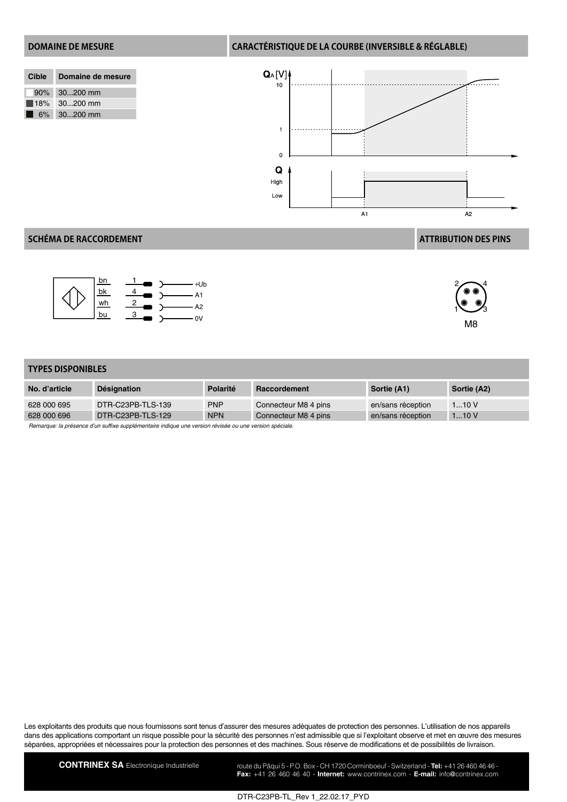### **DOMAINE DE MESURE CARACTÉRISTIQUE DE LA COURBE (INVERSIBLE & RÉGLABLE)**

| Cible Domaine de mesure    |
|----------------------------|
| 90% 30200 mm               |
| $18\%$ 30200 mm            |
| $\blacksquare$ 6% 30200 mm |



### **SCHÉMA DE RACCORDEMENT ATTRIBUTION DES PINS**





 $1\overset{\circ}{\smile} \mathscr{S}_3$ 

M8

**TYPES DISPONIBLES**

| No. d'article | <b>Désignation</b> | Polarité   | Raccordement         | Sortie (A1)       | Sortie (A2) |
|---------------|--------------------|------------|----------------------|-------------------|-------------|
| 628 000 695   | DTR-C23PB-TLS-139  | <b>PNP</b> | Connecteur M8 4 pins | en/sans réception | 110V        |
| 628 000 696   | DTR-C23PB-TLS-129  | <b>NPN</b> | Connecteur M8 4 pins | en/sans réception | 110V        |

*Remarque: la présence d'un suffixe supplémentaire indique une version révisée ou une version spéciale.*

Les exploitants des produits que nous fournissons sont tenus d'assurer des mesures adéquates de protection des personnes. L'utilisation de nos appareils dans des applications comportant un risque possible pour la sécurité des personnes n'est admissible que si l'exploitant observe et met en œuvre des mesures séparées, appropriées et nécessaires pour la protection des personnes et des machines. Sous réserve de modifications et de possibilités de livraison.

CONTRINEX SA Electronique Industrielle route du Pâqui 5 - P.O. Box - CH 1720 Corminboeuf - Switzerland - Tel: +41 26 460 46 46 -**Fax:** +41 26 460 46 40 - **Internet:** www.contrinex.com - **E-mail:** info@contrinex.com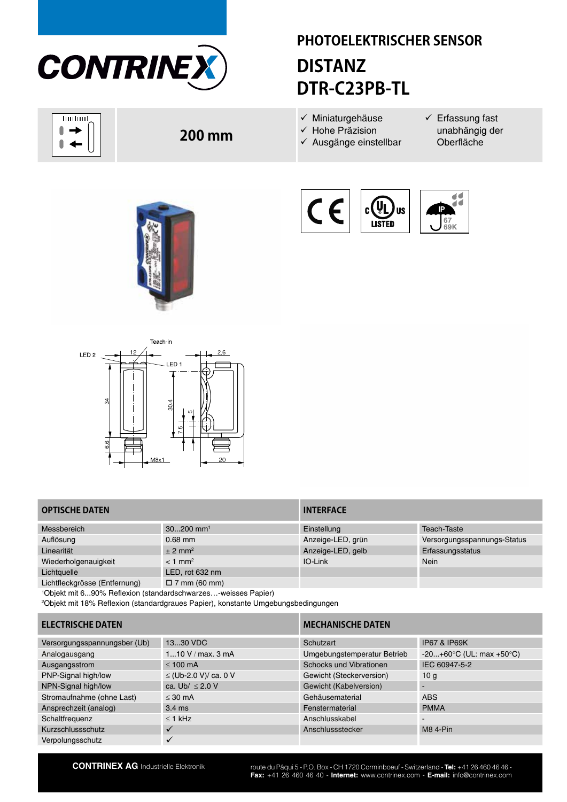

huduul 0  $\overline{\phantom{a}}$  $\blacktriangleleft$ 

# **PHOTOELEKTRISCHER SENSOR DISTANZ DTR-C23PB-TL**

- $\checkmark$  Miniaturgehäuse
- $\checkmark$  Hohe Präzision
- $\checkmark$  Ausgänge einstellbar
- $\checkmark$  Erfassung fast unabhängig der Oberfläche







**200 mm**



## **OPTISCHE DATEN INTERFACE**

| Messbereich                   | $30200$ mm <sup>1</sup> | Einstellung       | <b>Teach-Taste</b>          |
|-------------------------------|-------------------------|-------------------|-----------------------------|
| Auflösung                     | $0.68$ mm               | Anzeige-LED, grün | Versorgungsspannungs-Status |
| Linearität                    | $± 2$ mm <sup>2</sup>   | Anzeige-LED, gelb | Erfassungsstatus            |
| Wiederholgenauigkeit          | $< 1$ mm <sup>2</sup>   | IO-Link           | Nein                        |
| Lichtquelle                   | LED, rot 632 nm         |                   |                             |
| Lichtfleckgrösse (Entfernung) | $\Box$ 7 mm (60 mm)     |                   |                             |

1 Objekt mit 6...90% Reflexion (standardschwarzes…-weisses Papier)

2 Objekt mit 18% Reflexion (standardgraues Papier), konstante Umgebungsbedingungen

### **ELECTRISCHE DATEN MECHANISCHE DATEN**

| Versorgungsspannungsber (Ub) | 1330 VDC                   | Schutzart                   | <b>IP67 &amp; IP69K</b>                      |
|------------------------------|----------------------------|-----------------------------|----------------------------------------------|
| Analogausgang                | 110 V / max. 3 mA          | Umgebungstemperatur Betrieb | $-20+60^{\circ}C$ (UL: max +50 $^{\circ}C$ ) |
| Ausgangsstrom                | $\leq 100$ mA              | Schocks und Vibrationen     | IEC 60947-5-2                                |
| PNP-Signal high/low          | $\leq$ (Ub-2.0 V)/ ca. 0 V | Gewicht (Steckerversion)    | 10 <sub>a</sub>                              |
| NPN-Signal high/low          | ca. Ub/ $\leq$ 2.0 V       | Gewicht (Kabelversion)      |                                              |
| Stromaufnahme (ohne Last)    | $<$ 30 mA                  | Gehäusematerial             | <b>ABS</b>                                   |
| Ansprechzeit (analog)        | $3.4 \text{ ms}$           | Fenstermaterial             | <b>PMMA</b>                                  |
| Schaltfrequenz               | $\leq$ 1 kHz               | Anschlusskabel              | $\blacksquare$                               |
| Kurzschlussschutz            |                            | Anschlussstecker            | <b>M8 4-Pin</b>                              |
| Verpolungsschutz             |                            |                             |                                              |

**CONTRINEX AG** Industrielle Elektronik route du Pâqui 5 - P.O. Box - CH 1720 Corminboeuf - Switzerland - **Tel:** +41 26 460 46 46 -**Fax:** +41 26 460 46 40 - **Internet:** www.contrinex.com - **E-mail:** info@contrinex.com